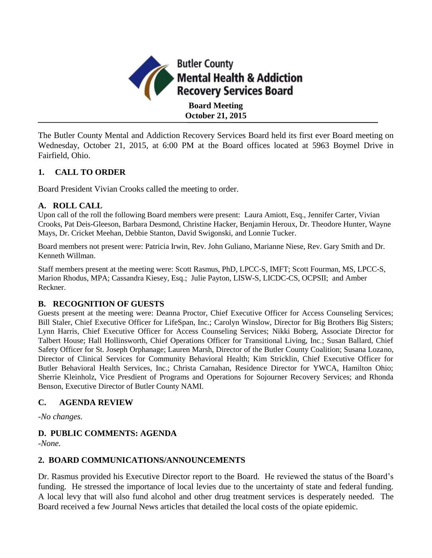

The Butler County Mental and Addiction Recovery Services Board held its first ever Board meeting on Wednesday, October 21, 2015, at 6:00 PM at the Board offices located at 5963 Boymel Drive in Fairfield, Ohio.

## **1. CALL TO ORDER**

Board President Vivian Crooks called the meeting to order.

## **A. ROLL CALL**

Upon call of the roll the following Board members were present: Laura Amiott, Esq., Jennifer Carter, Vivian Crooks, Pat Deis-Gleeson, Barbara Desmond, Christine Hacker, Benjamin Heroux, Dr. Theodore Hunter, Wayne Mays, Dr. Cricket Meehan, Debbie Stanton, David Swigonski, and Lonnie Tucker.

Board members not present were: Patricia Irwin, Rev. John Guliano, Marianne Niese, Rev. Gary Smith and Dr. Kenneth Willman.

Staff members present at the meeting were: Scott Rasmus, PhD, LPCC-S, IMFT; Scott Fourman, MS, LPCC-S, Marion Rhodus, MPA; Cassandra Kiesey, Esq.; Julie Payton, LISW-S, LICDC-CS, OCPSII; and Amber Reckner.

## **B. RECOGNITION OF GUESTS**

Guests present at the meeting were: Deanna Proctor, Chief Executive Officer for Access Counseling Services; Bill Staler, Chief Executive Officer for LifeSpan, Inc.; Carolyn Winslow, Director for Big Brothers Big Sisters; Lynn Harris, Chief Executive Officer for Access Counseling Services; Nikki Boberg, Associate Director for Talbert House; Hall Hollinsworth, Chief Operations Officer for Transitional Living, Inc.; Susan Ballard, Chief Safety Officer for St. Joseph Orphanage; Lauren Marsh, Director of the Butler County Coalition; Susana Lozano, Director of Clinical Services for Community Behavioral Health; Kim Stricklin, Chief Executive Officer for Butler Behavioral Health Services, Inc.; Christa Carnahan, Residence Director for YWCA, Hamilton Ohio; Sherrie Kleinholz, Vice Presdient of Programs and Operations for Sojourner Recovery Services; and Rhonda Benson, Executive Director of Butler County NAMI.

## **C. AGENDA REVIEW**

*-No changes.*

# **D. PUBLIC COMMENTS: AGENDA**

*-None.*

## **2. BOARD COMMUNICATIONS/ANNOUNCEMENTS**

Dr. Rasmus provided his Executive Director report to the Board. He reviewed the status of the Board's funding. He stressed the importance of local levies due to the uncertainty of state and federal funding. A local levy that will also fund alcohol and other drug treatment services is desperately needed. The Board received a few Journal News articles that detailed the local costs of the opiate epidemic.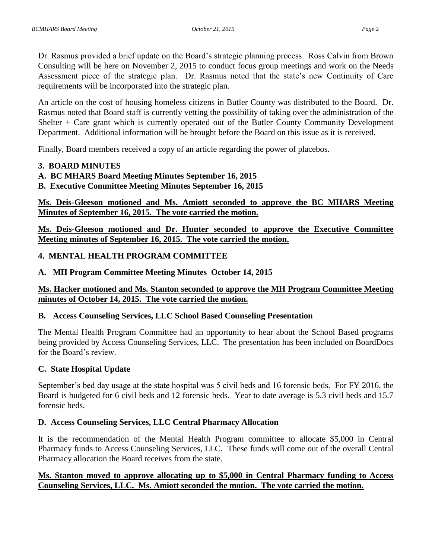Dr. Rasmus provided a brief update on the Board's strategic planning process. Ross Calvin from Brown Consulting will be here on November 2, 2015 to conduct focus group meetings and work on the Needs Assessment piece of the strategic plan. Dr. Rasmus noted that the state's new Continuity of Care requirements will be incorporated into the strategic plan.

An article on the cost of housing homeless citizens in Butler County was distributed to the Board. Dr. Rasmus noted that Board staff is currently vetting the possibility of taking over the administration of the Shelter + Care grant which is currently operated out of the Butler County Community Development Department. Additional information will be brought before the Board on this issue as it is received.

Finally, Board members received a copy of an article regarding the power of placebos.

#### **3. BOARD MINUTES**

## **A. BC MHARS Board Meeting Minutes September 16, 2015**

**B. Executive Committee Meeting Minutes September 16, 2015**

**Ms. Deis-Gleeson motioned and Ms. Amiott seconded to approve the BC MHARS Meeting Minutes of September 16, 2015. The vote carried the motion.**

**Ms. Deis-Gleeson motioned and Dr. Hunter seconded to approve the Executive Committee Meeting minutes of September 16, 2015. The vote carried the motion.**

## **4. MENTAL HEALTH PROGRAM COMMITTEE**

**A. MH Program Committee Meeting Minutes October 14, 2015**

## **Ms. Hacker motioned and Ms. Stanton seconded to approve the MH Program Committee Meeting minutes of October 14, 2015. The vote carried the motion.**

## **B. Access Counseling Services, LLC School Based Counseling Presentation**

The Mental Health Program Committee had an opportunity to hear about the School Based programs being provided by Access Counseling Services, LLC. The presentation has been included on BoardDocs for the Board's review.

## **C. State Hospital Update**

September's bed day usage at the state hospital was 5 civil beds and 16 forensic beds. For FY 2016, the Board is budgeted for 6 civil beds and 12 forensic beds. Year to date average is 5.3 civil beds and 15.7 forensic beds.

## **D. Access Counseling Services, LLC Central Pharmacy Allocation**

It is the recommendation of the Mental Health Program committee to allocate \$5,000 in Central Pharmacy funds to Access Counseling Services, LLC. These funds will come out of the overall Central Pharmacy allocation the Board receives from the state.

## **Ms. Stanton moved to approve allocating up to \$5,000 in Central Pharmacy funding to Access Counseling Services, LLC. Ms. Amiott seconded the motion. The vote carried the motion.**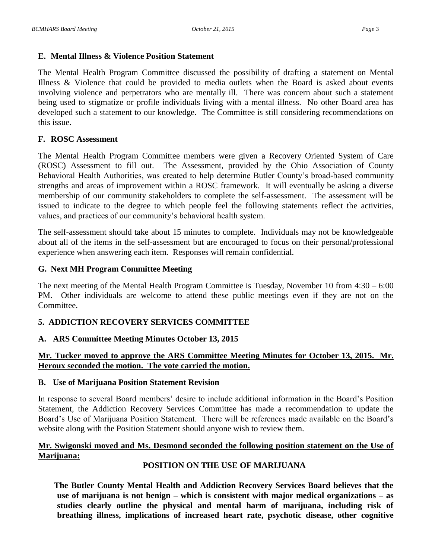## **E. Mental Illness & Violence Position Statement**

The Mental Health Program Committee discussed the possibility of drafting a statement on Mental Illness & Violence that could be provided to media outlets when the Board is asked about events involving violence and perpetrators who are mentally ill. There was concern about such a statement being used to stigmatize or profile individuals living with a mental illness. No other Board area has developed such a statement to our knowledge. The Committee is still considering recommendations on this issue.

## **F. ROSC Assessment**

The Mental Health Program Committee members were given a Recovery Oriented System of Care (ROSC) Assessment to fill out. The Assessment, provided by the Ohio Association of County Behavioral Health Authorities, was created to help determine Butler County's broad-based community strengths and areas of improvement within a ROSC framework. It will eventually be asking a diverse membership of our community stakeholders to complete the self-assessment. The assessment will be issued to indicate to the degree to which people feel the following statements reflect the activities, values, and practices of our community's behavioral health system.

The self-assessment should take about 15 minutes to complete. Individuals may not be knowledgeable about all of the items in the self-assessment but are encouraged to focus on their personal/professional experience when answering each item. Responses will remain confidential.

## **G. Next MH Program Committee Meeting**

The next meeting of the Mental Health Program Committee is Tuesday, November 10 from 4:30 – 6:00 PM. Other individuals are welcome to attend these public meetings even if they are not on the Committee.

# **5. ADDICTION RECOVERY SERVICES COMMITTEE**

## **A. ARS Committee Meeting Minutes October 13, 2015**

# **Mr. Tucker moved to approve the ARS Committee Meeting Minutes for October 13, 2015. Mr. Heroux seconded the motion. The vote carried the motion.**

## **B. Use of Marijuana Position Statement Revision**

In response to several Board members' desire to include additional information in the Board's Position Statement, the Addiction Recovery Services Committee has made a recommendation to update the Board's Use of Marijuana Position Statement. There will be references made available on the Board's website along with the Position Statement should anyone wish to review them.

## **Mr. Swigonski moved and Ms. Desmond seconded the following position statement on the Use of Marijuana:**

# **POSITION ON THE USE OF MARIJUANA**

**The Butler County Mental Health and Addiction Recovery Services Board believes that the use of marijuana is not benign – which is consistent with major medical organizations – as studies clearly outline the physical and mental harm of marijuana, including risk of breathing illness, implications of increased heart rate, psychotic disease, other cognitive**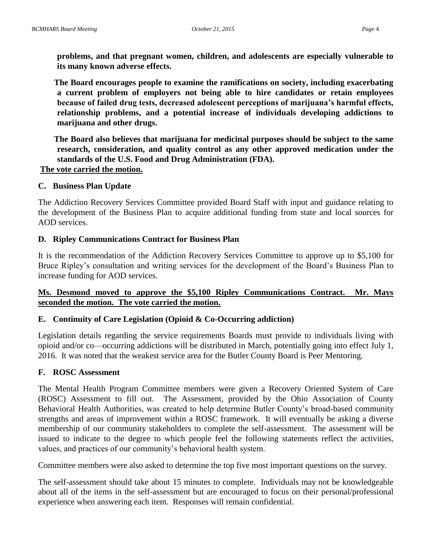**problems, and that pregnant women, children, and adolescents are especially vulnerable to its many known adverse effects.**

**The Board encourages people to examine the ramifications on society, including exacerbating a current problem of employers not being able to hire candidates or retain employees because of failed drug tests, decreased adolescent perceptions of marijuana's harmful effects, relationship problems, and a potential increase of individuals developing addictions to marijuana and other drugs.**

**The Board also believes that marijuana for medicinal purposes should be subject to the same research, consideration, and quality control as any other approved medication under the standards of the U.S. Food and Drug Administration (FDA). The vote carried the motion.**

# **C. Business Plan Update**

The Addiction Recovery Services Committee provided Board Staff with input and guidance relating to the development of the Business Plan to acquire additional funding from state and local sources for AOD services.

#### **D. Ripley Communications Contract for Business Plan**

It is the recommendation of the Addiction Recovery Services Committee to approve up to \$5,100 for Bruce Ripley's consultation and writing services for the development of the Board's Business Plan to increase funding for AOD services.

## **Ms. Desmond moved to approve the \$5,100 Ripley Communications Contract. Mr. Mays seconded the motion. The vote carried the motion.**

#### **E. Continuity of Care Legislation (Opioid & Co-Occurring addiction)**

Legislation details regarding the service requirements Boards must provide to individuals living with opioid and/or co—occurring addictions will be distributed in March, potentially going into effect July 1, 2016. It was noted that the weakest service area for the Butler County Board is Peer Mentoring.

#### **F. ROSC Assessment**

The Mental Health Program Committee members were given a Recovery Oriented System of Care (ROSC) Assessment to fill out. The Assessment, provided by the Ohio Association of County Behavioral Health Authorities, was created to help determine Butler County's broad-based community strengths and areas of improvement within a ROSC framework. It will eventually be asking a diverse membership of our community stakeholders to complete the self-assessment. The assessment will be issued to indicate to the degree to which people feel the following statements reflect the activities, values, and practices of our community's behavioral health system.

Committee members were also asked to determine the top five most important questions on the survey.

The self-assessment should take about 15 minutes to complete. Individuals may not be knowledgeable about all of the items in the self-assessment but are encouraged to focus on their personal/professional experience when answering each item. Responses will remain confidential.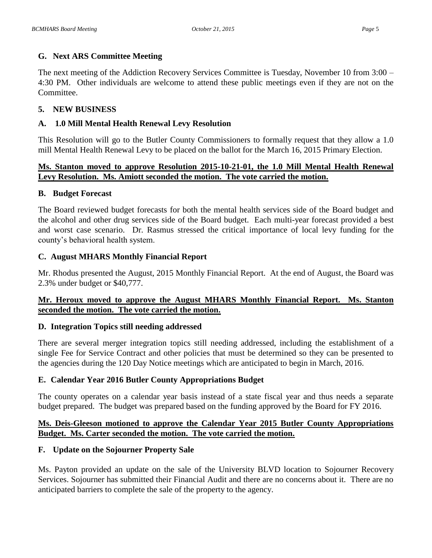## **G. Next ARS Committee Meeting**

The next meeting of the Addiction Recovery Services Committee is Tuesday, November 10 from 3:00 – 4:30 PM. Other individuals are welcome to attend these public meetings even if they are not on the Committee.

## **5. NEW BUSINESS**

# **A. 1.0 Mill Mental Health Renewal Levy Resolution**

This Resolution will go to the Butler County Commissioners to formally request that they allow a 1.0 mill Mental Health Renewal Levy to be placed on the ballot for the March 16, 2015 Primary Election.

## **Ms. Stanton moved to approve Resolution 2015-10-21-01, the 1.0 Mill Mental Health Renewal Levy Resolution. Ms. Amiott seconded the motion. The vote carried the motion.**

## **B. Budget Forecast**

The Board reviewed budget forecasts for both the mental health services side of the Board budget and the alcohol and other drug services side of the Board budget. Each multi-year forecast provided a best and worst case scenario. Dr. Rasmus stressed the critical importance of local levy funding for the county's behavioral health system.

## **C. August MHARS Monthly Financial Report**

Mr. Rhodus presented the August, 2015 Monthly Financial Report. At the end of August, the Board was 2.3% under budget or \$40,777.

# **Mr. Heroux moved to approve the August MHARS Monthly Financial Report. Ms. Stanton seconded the motion. The vote carried the motion.**

## **D. Integration Topics still needing addressed**

There are several merger integration topics still needing addressed, including the establishment of a single Fee for Service Contract and other policies that must be determined so they can be presented to the agencies during the 120 Day Notice meetings which are anticipated to begin in March, 2016.

## **E. Calendar Year 2016 Butler County Appropriations Budget**

The county operates on a calendar year basis instead of a state fiscal year and thus needs a separate budget prepared. The budget was prepared based on the funding approved by the Board for FY 2016.

# **Ms. Deis-Gleeson motioned to approve the Calendar Year 2015 Butler County Appropriations Budget. Ms. Carter seconded the motion. The vote carried the motion.**

## **F. Update on the Sojourner Property Sale**

Ms. Payton provided an update on the sale of the University BLVD location to Sojourner Recovery Services. Sojourner has submitted their Financial Audit and there are no concerns about it. There are no anticipated barriers to complete the sale of the property to the agency.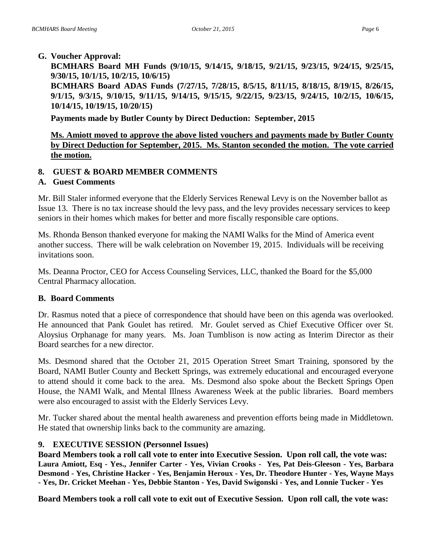**BCMHARS Board MH Funds (9/10/15, 9/14/15, 9/18/15, 9/21/15, 9/23/15, 9/24/15, 9/25/15, 9/30/15, 10/1/15, 10/2/15, 10/6/15)**

**BCMHARS Board ADAS Funds (7/27/15, 7/28/15, 8/5/15, 8/11/15, 8/18/15, 8/19/15, 8/26/15, 9/1/15, 9/3/15, 9/10/15, 9/11/15, 9/14/15, 9/15/15, 9/22/15, 9/23/15, 9/24/15, 10/2/15, 10/6/15, 10/14/15, 10/19/15, 10/20/15)**

**Payments made by Butler County by Direct Deduction: September, 2015**

# **Ms. Amiott moved to approve the above listed vouchers and payments made by Butler County by Direct Deduction for September, 2015. Ms. Stanton seconded the motion. The vote carried the motion.**

## **8. GUEST & BOARD MEMBER COMMENTS**

## **A. Guest Comments**

Mr. Bill Staler informed everyone that the Elderly Services Renewal Levy is on the November ballot as Issue 13. There is no tax increase should the levy pass, and the levy provides necessary services to keep seniors in their homes which makes for better and more fiscally responsible care options.

Ms. Rhonda Benson thanked everyone for making the NAMI Walks for the Mind of America event another success. There will be walk celebration on November 19, 2015. Individuals will be receiving invitations soon.

Ms. Deanna Proctor, CEO for Access Counseling Services, LLC, thanked the Board for the \$5,000 Central Pharmacy allocation.

## **B. Board Comments**

Dr. Rasmus noted that a piece of correspondence that should have been on this agenda was overlooked. He announced that Pank Goulet has retired. Mr. Goulet served as Chief Executive Officer over St. Aloysius Orphanage for many years. Ms. Joan Tumblison is now acting as Interim Director as their Board searches for a new director.

Ms. Desmond shared that the October 21, 2015 Operation Street Smart Training, sponsored by the Board, NAMI Butler County and Beckett Springs, was extremely educational and encouraged everyone to attend should it come back to the area. Ms. Desmond also spoke about the Beckett Springs Open House, the NAMI Walk, and Mental Illness Awareness Week at the public libraries. Board members were also encouraged to assist with the Elderly Services Levy.

Mr. Tucker shared about the mental health awareness and prevention efforts being made in Middletown. He stated that ownership links back to the community are amazing.

## **9. EXECUTIVE SESSION (Personnel Issues)**

**Board Members took a roll call vote to enter into Executive Session. Upon roll call, the vote was: Laura Amiott, Esq - Yes., Jennifer Carter - Yes, Vivian Crooks - Yes, Pat Deis-Gleeson - Yes, Barbara Desmond - Yes, Christine Hacker - Yes, Benjamin Heroux - Yes, Dr. Theodore Hunter - Yes, Wayne Mays - Yes, Dr. Cricket Meehan - Yes, Debbie Stanton - Yes, David Swigonski - Yes, and Lonnie Tucker - Yes**

**Board Members took a roll call vote to exit out of Executive Session. Upon roll call, the vote was:**